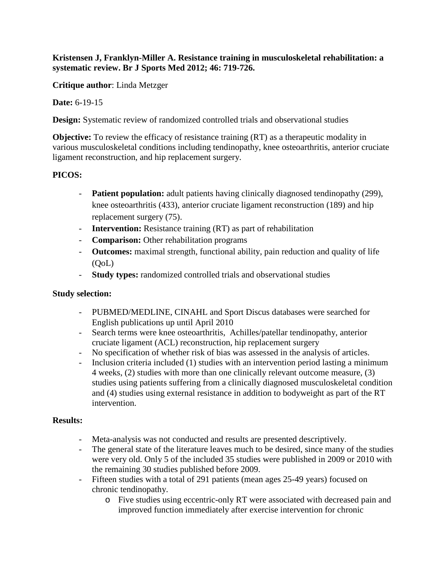## **Kristensen J, Franklyn-Miller A. Resistance training in musculoskeletal rehabilitation: a systematic review. Br J Sports Med 2012; 46: 719-726.**

**Critique author**: Linda Metzger

**Date:** 6-19-15

**Design:** Systematic review of randomized controlled trials and observational studies

**Objective:** To review the efficacy of resistance training (RT) as a therapeutic modality in various musculoskeletal conditions including tendinopathy, knee osteoarthritis, anterior cruciate ligament reconstruction, and hip replacement surgery.

# **PICOS:**

- **Patient population:** adult patients having clinically diagnosed tendinopathy (299), knee osteoarthritis (433), anterior cruciate ligament reconstruction (189) and hip replacement surgery (75).
- **Intervention:** Resistance training (RT) as part of rehabilitation
- **Comparison:** Other rehabilitation programs
- **Outcomes:** maximal strength, functional ability, pain reduction and quality of life (QoL)
- **Study types:** randomized controlled trials and observational studies

### **Study selection:**

- PUBMED/MEDLINE, CINAHL and Sport Discus databases were searched for English publications up until April 2010
- Search terms were knee osteoarthritis, Achilles/patellar tendinopathy, anterior cruciate ligament (ACL) reconstruction, hip replacement surgery
- No specification of whether risk of bias was assessed in the analysis of articles.
- Inclusion criteria included (1) studies with an intervention period lasting a minimum 4 weeks, (2) studies with more than one clinically relevant outcome measure, (3) studies using patients suffering from a clinically diagnosed musculoskeletal condition and (4) studies using external resistance in addition to bodyweight as part of the RT intervention.

#### **Results:**

- Meta-analysis was not conducted and results are presented descriptively.
- The general state of the literature leaves much to be desired, since many of the studies were very old. Only 5 of the included 35 studies were published in 2009 or 2010 with the remaining 30 studies published before 2009.
- Fifteen studies with a total of 291 patients (mean ages 25-49 years) focused on chronic tendinopathy.
	- o Five studies using eccentric-only RT were associated with decreased pain and improved function immediately after exercise intervention for chronic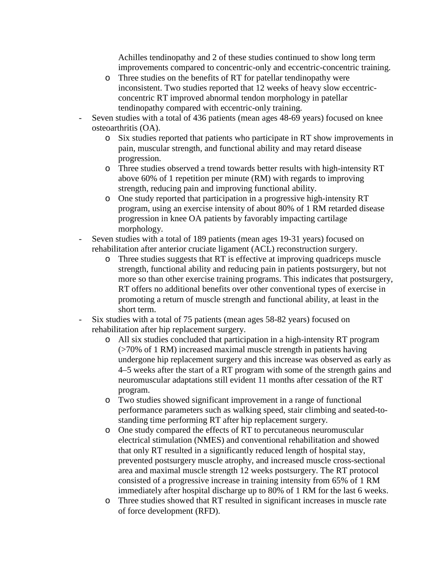Achilles tendinopathy and 2 of these studies continued to show long term improvements compared to concentric-only and eccentric-concentric training.

- o Three studies on the benefits of RT for patellar tendinopathy were inconsistent. Two studies reported that 12 weeks of heavy slow eccentricconcentric RT improved abnormal tendon morphology in patellar tendinopathy compared with eccentric-only training.
- Seven studies with a total of 436 patients (mean ages 48-69 years) focused on knee osteoarthritis (OA).
	- o Six studies reported that patients who participate in RT show improvements in pain, muscular strength, and functional ability and may retard disease progression.
	- o Three studies observed a trend towards better results with high-intensity RT above 60% of 1 repetition per minute (RM) with regards to improving strength, reducing pain and improving functional ability.
	- o One study reported that participation in a progressive high-intensity RT program, using an exercise intensity of about 80% of 1 RM retarded disease progression in knee OA patients by favorably impacting cartilage morphology.
- Seven studies with a total of 189 patients (mean ages 19-31 years) focused on rehabilitation after anterior cruciate ligament (ACL) reconstruction surgery.
	- o Three studies suggests that RT is effective at improving quadriceps muscle strength, functional ability and reducing pain in patients postsurgery, but not more so than other exercise training programs. This indicates that postsurgery, RT offers no additional benefits over other conventional types of exercise in promoting a return of muscle strength and functional ability, at least in the short term.
- Six studies with a total of 75 patients (mean ages 58-82 years) focused on rehabilitation after hip replacement surgery.
	- o All six studies concluded that participation in a high-intensity RT program (>70% of 1 RM) increased maximal muscle strength in patients having undergone hip replacement surgery and this increase was observed as early as 4–5 weeks after the start of a RT program with some of the strength gains and neuromuscular adaptations still evident 11 months after cessation of the RT program.
	- o Two studies showed significant improvement in a range of functional performance parameters such as walking speed, stair climbing and seated-tostanding time performing RT after hip replacement surgery.
	- o One study compared the effects of RT to percutaneous neuromuscular electrical stimulation (NMES) and conventional rehabilitation and showed that only RT resulted in a significantly reduced length of hospital stay, prevented postsurgery muscle atrophy, and increased muscle cross-sectional area and maximal muscle strength 12 weeks postsurgery. The RT protocol consisted of a progressive increase in training intensity from 65% of 1 RM immediately after hospital discharge up to 80% of 1 RM for the last 6 weeks.
	- o Three studies showed that RT resulted in significant increases in muscle rate of force development (RFD).